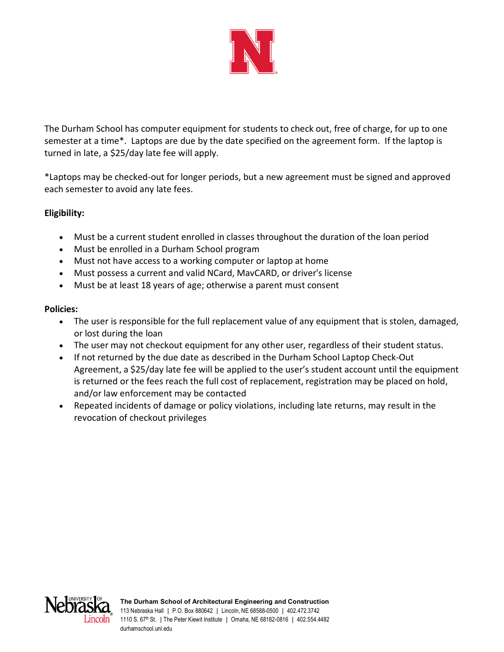

The Durham School has computer equipment for students to check out, free of charge, for up to one semester at a time\*. Laptops are due by the date specified on the agreement form. If the laptop is turned in late, a \$25/day late fee will apply.

\*Laptops may be checked-out for longer periods, but a new agreement must be signed and approved each semester to avoid any late fees.

# **Eligibility:**

- Must be a current student enrolled in classes throughout the duration of the loan period
- Must be enrolled in a Durham School program
- Must not have access to a working computer or laptop at home
- Must possess a current and valid NCard, MavCARD, or driver's license
- Must be at least 18 years of age; otherwise a parent must consent

#### **Policies:**

- The user is responsible for the full replacement value of any equipment that is stolen, damaged, or lost during the loan
- The user may not checkout equipment for any other user, regardless of their student status.
- If not returned by the due date as described in the Durham School Laptop Check-Out Agreement, a \$25/day late fee will be applied to the user's student account until the equipment is returned or the fees reach the full cost of replacement, registration may be placed on hold, and/or law enforcement may be contacted
- Repeated incidents of damage or policy violations, including late returns, may result in the revocation of checkout privileges